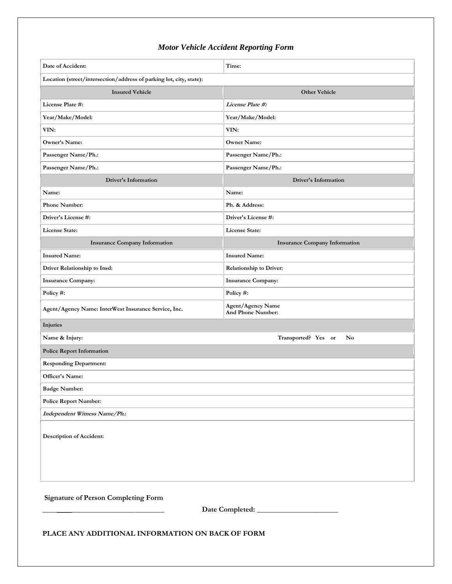## *Motor Vehicle Accident Reporting Form*

| Date of Accident:                                                                              | Time:                                                |  |  |  |
|------------------------------------------------------------------------------------------------|------------------------------------------------------|--|--|--|
| Location (street/intersection/address of parking lot, city, state):                            |                                                      |  |  |  |
| <b>Insured Vehicle</b>                                                                         | <b>Other Vehicle</b>                                 |  |  |  |
| License Plate #:                                                                               | License Plate #:                                     |  |  |  |
| Year/Make/Model:                                                                               | Year/Make/Model:                                     |  |  |  |
| VIN:                                                                                           | VIN:                                                 |  |  |  |
| Owner's Name:                                                                                  | <b>Owner Name:</b>                                   |  |  |  |
| Passenger Name/Ph.:                                                                            | Passenger Name/Ph.:                                  |  |  |  |
| Passenger Name/Ph.:                                                                            | Passenger Name/Ph.:                                  |  |  |  |
| <b>Driver's Information</b>                                                                    | <b>Driver's Information</b>                          |  |  |  |
| Name:                                                                                          | Name:                                                |  |  |  |
| <b>Phone Number:</b>                                                                           | Ph. & Address:                                       |  |  |  |
| Driver's License #:                                                                            | Driver's License #:                                  |  |  |  |
| License State:                                                                                 | License State:                                       |  |  |  |
| <b>Insurance Company Information</b>                                                           | <b>Insurance Company Information</b>                 |  |  |  |
| <b>Insured Name:</b>                                                                           | <b>Insured Name:</b>                                 |  |  |  |
| Driver Relationship to Insd:                                                                   | <b>Relationship to Driver:</b>                       |  |  |  |
| <b>Insurance Company:</b>                                                                      | <b>Insurance Company:</b>                            |  |  |  |
| Policy #:                                                                                      | Policy #:                                            |  |  |  |
| Agent/Agency Name: InterWest Insurance Service, Inc.                                           | <b>Agent/Agency Name</b><br><b>And Phone Number:</b> |  |  |  |
| Injuries                                                                                       |                                                      |  |  |  |
| Name & Injury:                                                                                 | Transported? Yes or<br>No                            |  |  |  |
| <b>Police Report Information</b>                                                               |                                                      |  |  |  |
| <b>Responding Department:</b>                                                                  |                                                      |  |  |  |
| Officer's Name:                                                                                |                                                      |  |  |  |
| <b>Badge Number:</b>                                                                           |                                                      |  |  |  |
| <b>Police Report Number:</b>                                                                   |                                                      |  |  |  |
| Independent Witness Name/Ph.:                                                                  |                                                      |  |  |  |
| Description of Accident:                                                                       |                                                      |  |  |  |
| <b>Signature of Person Completing Form</b><br>PLACE ANY ADDITIONAL INFORMATION ON BACK OF FORM |                                                      |  |  |  |